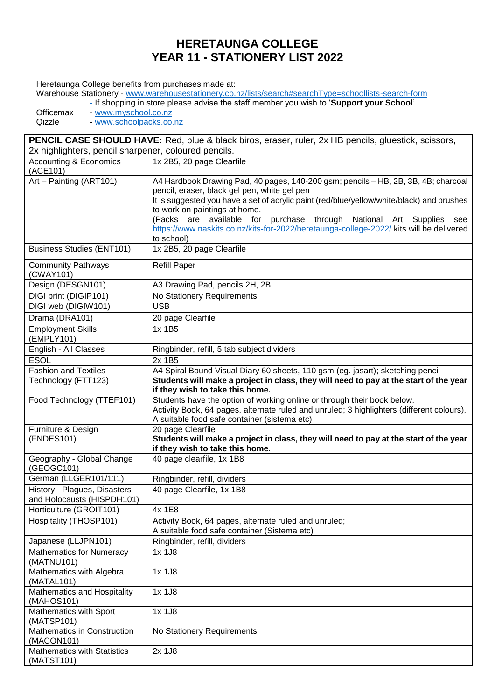## **HERETAUNGA COLLEGE YEAR 11 - STATIONERY LIST 2022**

Heretaunga College benefits from purchases made at:

Warehouse Stationery - [www.warehousestationery.co.nz/lists/search#searchType=schoollists-search-form](http://www.warehousestationery.co.nz/lists/search#searchType=schoollists-search-form)

- If shopping in store please advise the staff member you wish to '**Support your School**'.

Officemax - [www.myschool.co.nz](http://www.myschool.co.nz/)<br>Qizzle - www.schoolpacks.co. - [www.schoolpacks.co.nz](http://www.schoolpacks.co.nz/)

**PENCIL CASE SHOULD HAVE:** Red, blue & black biros, eraser, ruler, 2x HB pencils, gluestick, scissors, 2x highlighters, pencil sharpener, coloured pencils. Accounting & Economics  $(ACE101)$ <br>Art – Painting (ART101) 1x 2B5, 20 page Clearfile A4 Hardbook Drawing Pad, 40 pages, 140-200 gsm; pencils – HB, 2B, 3B, 4B; charcoal pencil, eraser, black gel pen, white gel pen It is suggested you have a set of acrylic paint (red/blue/yellow/white/black) and brushes to work on paintings at home. (Packs are available for purchase through National Art Supplies see <https://www.naskits.co.nz/kits-for-2022/heretaunga-college-2022/> kits will be delivered to school) Business Studies (ENT101) 1x 2B5, 20 page Clearfile Community Pathways (CWAY101) Refill Paper Design (DESGN101) | A3 Drawing Pad, pencils 2H, 2B; DIGI print (DIGIP101) No Stationery Requirements<br>DIGI web (DIGIW101) USB DIGI web (DIGIW101) Drama (DRA101) | 20 page Clearfile Employment Skills (EMPLY101) 1x 1B5 English - All Classes | Ringbinder, refill, 5 tab subject dividers ESOL 2x 1B5 Fashion and Textiles Technology (FTT123) A4 Spiral Bound Visual Diary 60 sheets, 110 gsm (eg. jasart); sketching pencil **Students will make a project in class, they will need to pay at the start of the year if they wish to take this home.** Food Technology (TTEF101) Students have the option of working online or through their book below. Activity Book, 64 pages, alternate ruled and unruled; 3 highlighters (different colours), A suitable food safe container (sistema etc) Furniture & Design (FNDES101) 20 page Clearfile **Students will make a project in class, they will need to pay at the start of the year if they wish to take this home.** Geography - Global Change (GEOGC101) 40 page clearfile, 1x 1B8 German (LLGER101/111) Ringbinder, refill, dividers History - Plagues, Disasters and Holocausts (HISPDH101) 40 page Clearfile, 1x 1B8 Horticulture (GROIT101) | 4x 1E8 Hospitality (THOSP101) | Activity Book, 64 pages, alternate ruled and unruled; A suitable food safe container (Sistema etc) Japanese (LLJPN101) Ringbinder, refill, dividers Mathematics for Numeracy (MATNU101) 1x 1J8 Mathematics with Algebra (MATAL101) 1x 1J8 Mathematics and Hospitality (MAHOS101) 1x 1J8 Mathematics with Sport (MATSP101) 1x 1J8 Mathematics in Construction (MACON101) No Stationery Requirements Mathematics with Statistics (MATST101) 2x 1J8